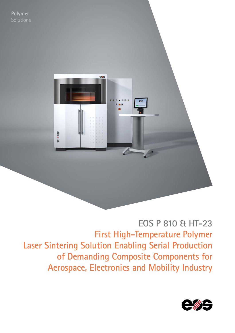

**EOS P 810 & HT-23 First High-Temperature Polymer Laser Sintering Solution Enabling Serial Production of Demanding Composite Components for Aerospace, Electronics and Mobility Industry**